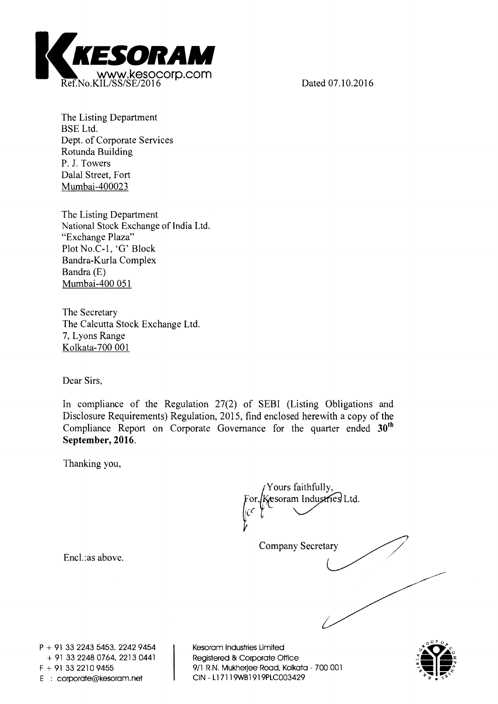

**The Listing Department BSE Ltd. Dept. of Corporate Services Rotunda Building P. J. Towers Dalai Street, Fort Mumbai-400023** 

**The Listing Department National Stock Exchange of India Ltd. "Exchange Plaza" Plot No.C-1, 'G' Block Bandra-Kurla Complex Bandra (E) Mumbai-400 051** 

**The Secretary The Calcutta Stock Exchange Ltd. 7, Lyons Range Kolkata-700 001** 

**Dear Sirs,** 

**In compliance of the Regulation 27(2) of SEBI (Listing Obligations and Disclosure Requirements) Regulation, 2015, find enclosed herewith a copy of the Compliance Report on Corporate Governance for the quarter ended 30th** 

**Thanking you,** 

**Company Secretary or,( Yours faithfully, esoram Industries Ltd.** 

**Encl.:as above.** 

**P + 91 33 2243 5453, 2242 9454 + 91 33 2248 0764, 2213 0441 F + 91 33 2210 9455 E : corporate@kesoram.net** 

**Kesoram Industries Limited Registered & Corporate Office 9/1 R.N. Mukherjee Road, Kolkata - 700 001 CIN - Ll 7119WB1919PLC003429** 

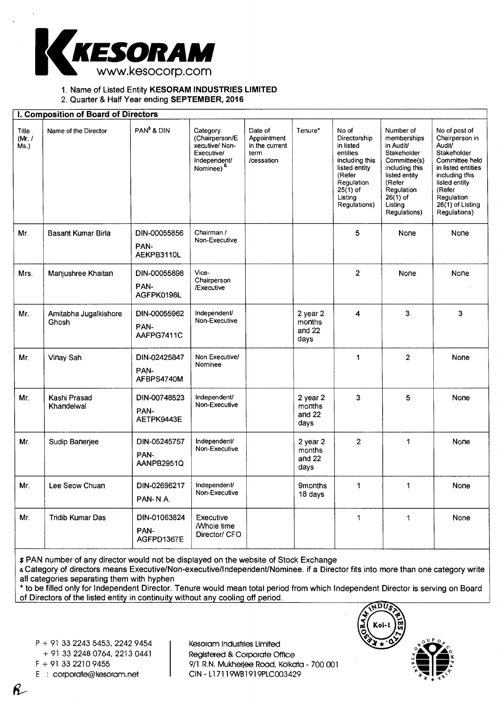

## 1. Name of Listed Entity **KESORAM INDUSTRIES LIMITED**

2. Quarter & Half Year ending **SEPTEMBER, 2016** 

#### **I. Composition of Board of Directors**  Title (Mr. / Ms.) Name of the Director | PAN<sup>\$</sup> & DIN | Category (Chairperson/E xecutive/ Non-Executive/ Independent/ Nominee) & Date of Appointment in the current term /cessation Tenure\* No of Directorship in listed entities including this listed entity (Refer Regulation 25(1) of **Listing** Regulations) Number of memberships in Audit/ Stakeholder Committee(s) including this listed entity (Refer Regulation 26(1) of **Listing** Regulations) No of post of Chairperson in Audit/ **Stakeholder** Committee held in listed entities including this listed entity (Refer **Regulation** 26(1) of Listing Regulations) Mr. Basant Kumar Birla | DIN-00055856 PAN-AEKPB3110L Chairman / Non-Executive 5 None None Mrs. | Manjushree Khaitan | DIN-00055898 PAN-AGFPK0198L Vice-Chairperson /Executive 2 None None Mr. | Amitabha Jugalkishore Ghosh DIN-00055962 PAN-AAFPG7411C Independent/ Non-Executive 2 year 2 months and 22 days 4 | 3 | 3 Mr. | Vinay Sah | DIN-02425847 PAN-AFBPS4740M Non Executive/ Nominee 1 2 None Mr. Kashi Prasad Khandelwal DIN-00748523 PAN-AETPK9443E Independent/ Non-Executive 2 year 2 months and 22 days 3 5 None Mr. Sudip Banerjee DIN-05245757 PAN-AANPB2951Q Independent/ Non-Executive 2 year 2 months and 22 days 2 1 None Mr. Lee Seow Chuan | DIN-02696217 PAN- N.A. Independent/ Non-Executive 9months 18 days 1 1 None Mr. Tridib Kumar Das JDIN-01063824 PAN-AGFPD1367E **Executive** /Whole time Director/ CFO 1 1 None

\$ PAN number of any director would not be displayed on the website of Stock Exchange

& Category of directors means Executive/Non-executive/Independent/Nominee. if a Director fits into more than one category write all categories separating them with hyphen

\* to be filled only for Independent Director. Tenure would mean total period from which Independent Director is serving on Board of Directors of the listed entity in continuity without any cooling off period.

P + 91 33 2243 5453, 2242 9454

+ 91 33 2248 0764, 2213 0441

R

Kesoram Industries Limited Registered & Corporate Office F + 91 33 2210 9455 9/1 R.N. Mukherjee Road, Kolkata - 700 001 E corporate@kesoram.net CIN - L17119W81919PLC003429



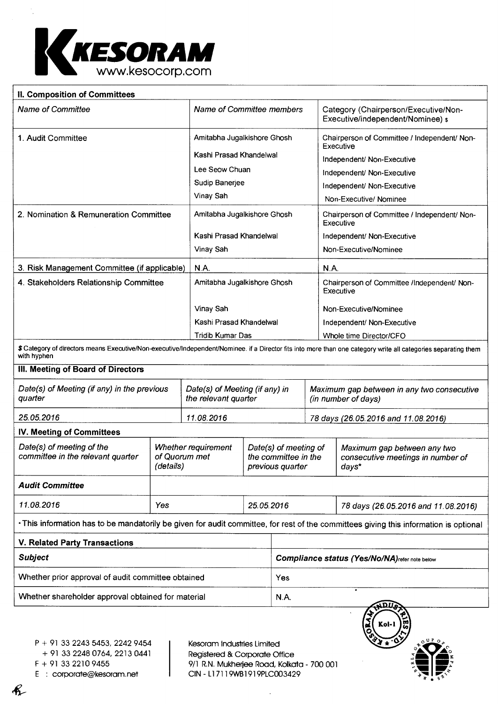

| II. Composition of Committees                                  |                                                   |             |                                                                   |                                                      |  |                                                                                                                                                                 |  |
|----------------------------------------------------------------|---------------------------------------------------|-------------|-------------------------------------------------------------------|------------------------------------------------------|--|-----------------------------------------------------------------------------------------------------------------------------------------------------------------|--|
| Name of Committee                                              |                                                   |             | Name of Committee members                                         |                                                      |  | Category (Chairperson/Executive/Non-<br>Executive/independent/Nominee) \$                                                                                       |  |
| 1. Audit Committee                                             |                                                   |             | Amitabha Jugalkishore Ghosh                                       |                                                      |  | Chairperson of Committee / Independent/ Non-                                                                                                                    |  |
|                                                                |                                                   |             | Kashi Prasad Khandelwal                                           |                                                      |  | Executive<br>Independent/ Non-Executive                                                                                                                         |  |
|                                                                |                                                   |             | Lee Seow Chuan                                                    |                                                      |  | Independent/ Non-Executive                                                                                                                                      |  |
|                                                                |                                                   |             | Sudip Banerjee                                                    |                                                      |  | Independent/ Non-Executive                                                                                                                                      |  |
|                                                                |                                                   | Vinay Sah   |                                                                   |                                                      |  | Non-Executive/ Nominee                                                                                                                                          |  |
| 2. Nomination & Remuneration Committee                         |                                                   |             | Amitabha Jugalkishore Ghosh                                       |                                                      |  | Chairperson of Committee / Independent/ Non-<br>Executive                                                                                                       |  |
|                                                                |                                                   |             | Kashi Prasad Khandelwal                                           |                                                      |  | Independent/ Non-Executive                                                                                                                                      |  |
|                                                                |                                                   | Vinay Sah   |                                                                   |                                                      |  | Non-Executive/Nominee                                                                                                                                           |  |
| 3. Risk Management Committee (if applicable)                   |                                                   | <b>N.A.</b> |                                                                   |                                                      |  | N.A.                                                                                                                                                            |  |
| 4. Stakeholders Relationship Committee                         |                                                   |             | Amitabha Jugalkishore Ghosh                                       |                                                      |  | Chairperson of Committee /Independent/ Non-<br>Executive                                                                                                        |  |
|                                                                |                                                   | Vinay Sah   |                                                                   |                                                      |  | Non-Executive/Nominee                                                                                                                                           |  |
|                                                                |                                                   |             | Kashi Prasad Khandelwal                                           |                                                      |  | Independent/ Non-Executive                                                                                                                                      |  |
|                                                                |                                                   |             | <b>Tridib Kumar Das</b>                                           |                                                      |  | Whole time Director/CFO                                                                                                                                         |  |
| with hyphen                                                    |                                                   |             |                                                                   |                                                      |  | \$ Category of directors means Executive/Non-executive/Independent/Nominee. if a Director fits into more than one category write all categories separating them |  |
| III. Meeting of Board of Directors                             |                                                   |             |                                                                   |                                                      |  |                                                                                                                                                                 |  |
| Date(s) of Meeting (if any) in the previous<br>quarter         |                                                   |             | Date(s) of Meeting (if any) in<br>the relevant quarter            |                                                      |  | Maximum gap between in any two consecutive<br>(in number of days)                                                                                               |  |
| 25.05.2016                                                     |                                                   | 11.08.2016  |                                                                   |                                                      |  | 78 days (26.05.2016 and 11.08.2016)                                                                                                                             |  |
| <b>IV. Meeting of Committees</b>                               |                                                   |             |                                                                   |                                                      |  |                                                                                                                                                                 |  |
| Date(s) of meeting of the<br>committee in the relevant quarter | Whether requirement<br>of Quorum met<br>(details) |             | Date(s) of meeting of<br>the committee in the<br>previous quarter |                                                      |  | Maximum gap between any two<br>consecutive meetings in number of<br>days*                                                                                       |  |
| <b>Audit Committee</b>                                         |                                                   |             |                                                                   |                                                      |  |                                                                                                                                                                 |  |
| 11.08.2016                                                     | Yes                                               |             | 25.05.2016                                                        |                                                      |  | 78 days (26.05.2016 and 11.08.2016)                                                                                                                             |  |
|                                                                |                                                   |             |                                                                   |                                                      |  | . This information has to be mandatorily be given for audit committee, for rest of the committees giving this information is optional                           |  |
| V. Related Party Transactions                                  |                                                   |             |                                                                   |                                                      |  |                                                                                                                                                                 |  |
| <b>Subject</b>                                                 |                                                   |             |                                                                   | <b>Compliance status (Yes/No/NA)refer note below</b> |  |                                                                                                                                                                 |  |
| Whether prior approval of audit committee obtained             |                                                   |             |                                                                   | Yes                                                  |  |                                                                                                                                                                 |  |
| Whether shareholder approval obtained for material             |                                                   |             |                                                                   | N.A.                                                 |  |                                                                                                                                                                 |  |
|                                                                |                                                   |             |                                                                   |                                                      |  |                                                                                                                                                                 |  |

P + 91 33 2243 5453, 2242 9454

+ 91 33 2248 0764, 2213 0441

 $\kappa$ 

E : corporate@kesoram.net

Kesoram Industries Limited Registered & Corporate Office  $F + 913322109455$ <br>  $F + 913322109455$ <br>  $C \cdot 200001$ <br>  $F \cdot 200001$ <br>  $F \cdot 20003429$ 

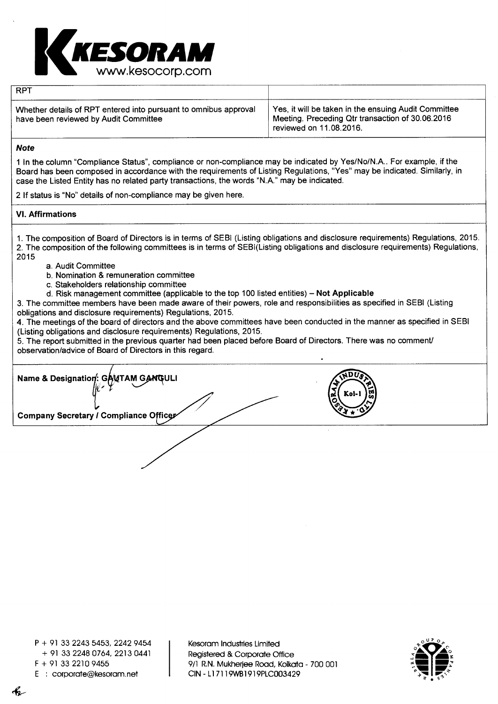

| <b>RPT</b>                                                                                                |                                                                                                                                     |
|-----------------------------------------------------------------------------------------------------------|-------------------------------------------------------------------------------------------------------------------------------------|
| Whether details of RPT entered into pursuant to omnibus approval<br>have been reviewed by Audit Committee | Yes, it will be taken in the ensuing Audit Committee<br>Meeting. Preceding Qtr transaction of 30.06.2016<br>reviewed on 11.08.2016. |

#### **Note**

1 In the column "Compliance Status", compliance or non-compliance may be indicated by Yes/No/N.A.. For example, if the Board has been composed in accordance with the requirements of Listing Regulations, "Yes" may be indicated. Similarly, in case the Listed Entity has no related party transactions, the words "N.A." may be indicated.

2 If status is "No" details of non-compliance may be given here.

### **VI. Affirmations**

1. The composition of Board of Directors is in terms of SEBI (Listing obligations and disclosure requirements) Regulations, 2015. 2. The composition of the following committees is in terms of SEBI(Listing obligations and disclosure requirements) Regulations, 2015

- a. Audit Committee
- b. Nomination & remuneration committee
- c. Stakeholders relationship committee
- d. Risk management committee (applicable to the top 100 listed entities) **Not Applicable**

3. The committee members have been made aware of their powers, role and responsibilities as specified in SEBI (Listing obligations and disclosure requirements) Regulations, 2015.

**4.** The meetings of the board of directors and the above committees have been conducted in the manner as specified in SEBI (Listing obligations and disclosure requirements) Regulations, 2015.

**14 \$** 

**4** 

**.-.**  Kol-1 }멿} **4...** 

**4** 

5. The report submitted in the previous quarter had been placed before Board of Directors. There was no comment/ observation/advice of Board of Directors in this regard.

**Name & Designation: GANTAM GANGULI Company Secretary / Compliance Officer** 

k

Kesoram Industries Limited Registered & Corporate Office 9/1 R.N. Mukherjee Road, Kolkata - 700 001 CIN - Ll 7119VVB1919PLC003429